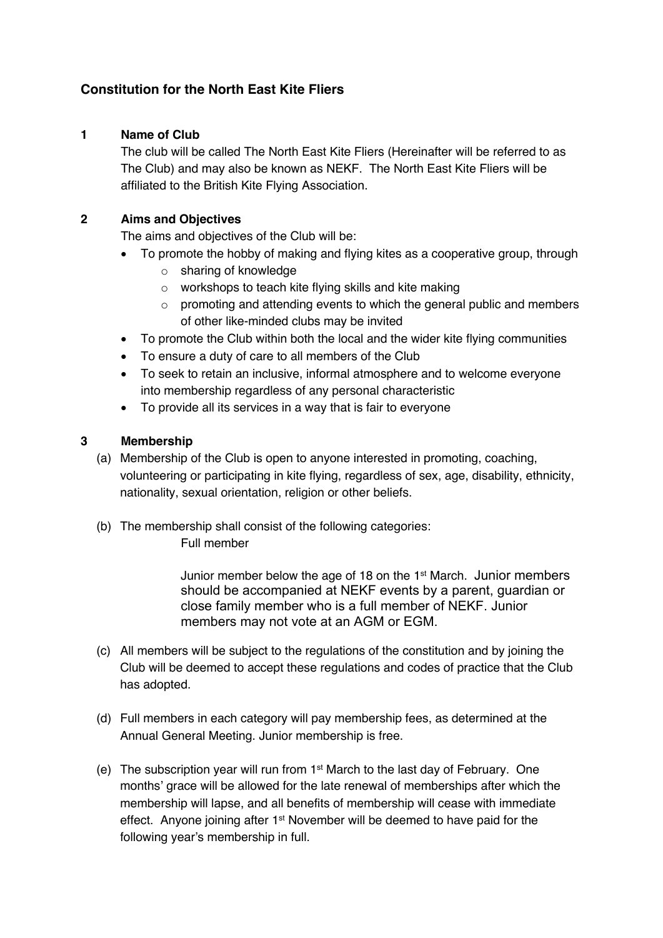# **Constitution for the North East Kite Fliers**

# **1 Name of Club**

The club will be called The North East Kite Fliers (Hereinafter will be referred to as The Club) and may also be known as NEKF. The North East Kite Fliers will be affiliated to the British Kite Flying Association.

#### **2 Aims and Objectives**

The aims and objectives of the Club will be:

- To promote the hobby of making and flying kites as a cooperative group, through
	- o sharing of knowledge
	- o workshops to teach kite flying skills and kite making
	- o promoting and attending events to which the general public and members of other like-minded clubs may be invited
- To promote the Club within both the local and the wider kite flying communities
- To ensure a duty of care to all members of the Club
- To seek to retain an inclusive, informal atmosphere and to welcome everyone into membership regardless of any personal characteristic
- To provide all its services in a way that is fair to everyone

#### **3 Membership**

- (a) Membership of the Club is open to anyone interested in promoting, coaching, volunteering or participating in kite flying, regardless of sex, age, disability, ethnicity, nationality, sexual orientation, religion or other beliefs.
- (b) The membership shall consist of the following categories: Full member

Junior member below the age of 18 on the 1<sup>st</sup> March. Junior members should be accompanied at NEKF events by a parent, guardian or close family member who is a full member of NEKF. Junior members may not vote at an AGM or EGM.

- (c) All members will be subject to the regulations of the constitution and by joining the Club will be deemed to accept these regulations and codes of practice that the Club has adopted.
- (d) Full members in each category will pay membership fees, as determined at the Annual General Meeting. Junior membership is free.
- (e) The subscription year will run from  $1<sup>st</sup>$  March to the last day of February. One months' grace will be allowed for the late renewal of memberships after which the membership will lapse, and all benefits of membership will cease with immediate effect. Anyone joining after 1st November will be deemed to have paid for the following year's membership in full.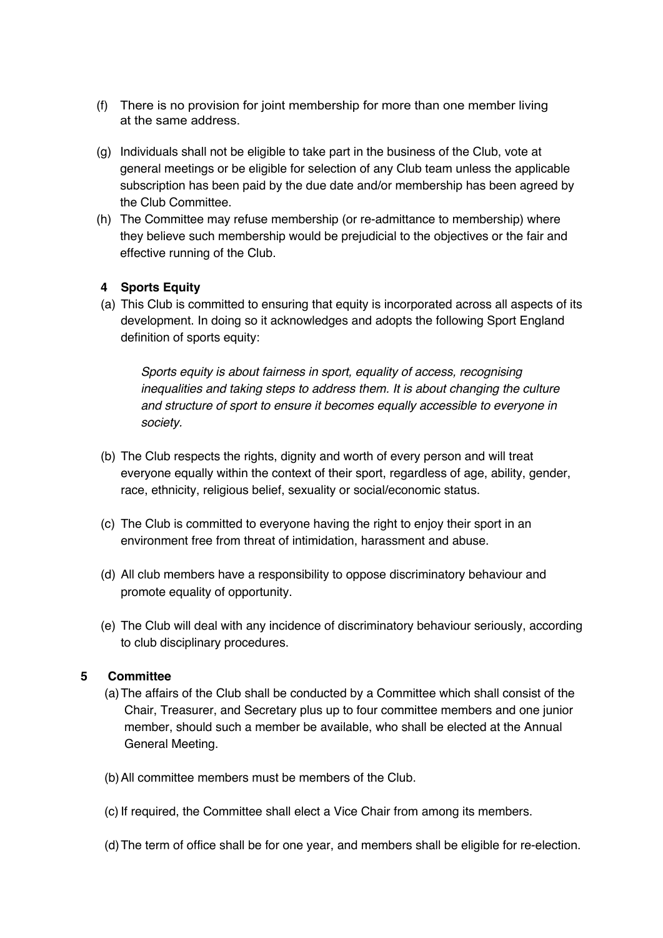- (f) There is no provision for joint membership for more than one member living at the same address.
- (g) Individuals shall not be eligible to take part in the business of the Club, vote at general meetings or be eligible for selection of any Club team unless the applicable subscription has been paid by the due date and/or membership has been agreed by the Club Committee.
- (h) The Committee may refuse membership (or re-admittance to membership) where they believe such membership would be prejudicial to the objectives or the fair and effective running of the Club.

# **4 Sports Equity**

(a) This Club is committed to ensuring that equity is incorporated across all aspects of its development. In doing so it acknowledges and adopts the following Sport England definition of sports equity:

*Sports equity is about fairness in sport, equality of access, recognising inequalities and taking steps to address them. It is about changing the culture and structure of sport to ensure it becomes equally accessible to everyone in society.*

- (b) The Club respects the rights, dignity and worth of every person and will treat everyone equally within the context of their sport, regardless of age, ability, gender, race, ethnicity, religious belief, sexuality or social/economic status.
- (c) The Club is committed to everyone having the right to enjoy their sport in an environment free from threat of intimidation, harassment and abuse.
- (d) All club members have a responsibility to oppose discriminatory behaviour and promote equality of opportunity.
- (e) The Club will deal with any incidence of discriminatory behaviour seriously, according to club disciplinary procedures.

#### **5 Committee**

- (a)The affairs of the Club shall be conducted by a Committee which shall consist of the Chair, Treasurer, and Secretary plus up to four committee members and one junior member, should such a member be available, who shall be elected at the Annual General Meeting.
- (b)All committee members must be members of the Club.
- (c) If required, the Committee shall elect a Vice Chair from among its members.
- (d)The term of office shall be for one year, and members shall be eligible for re-election.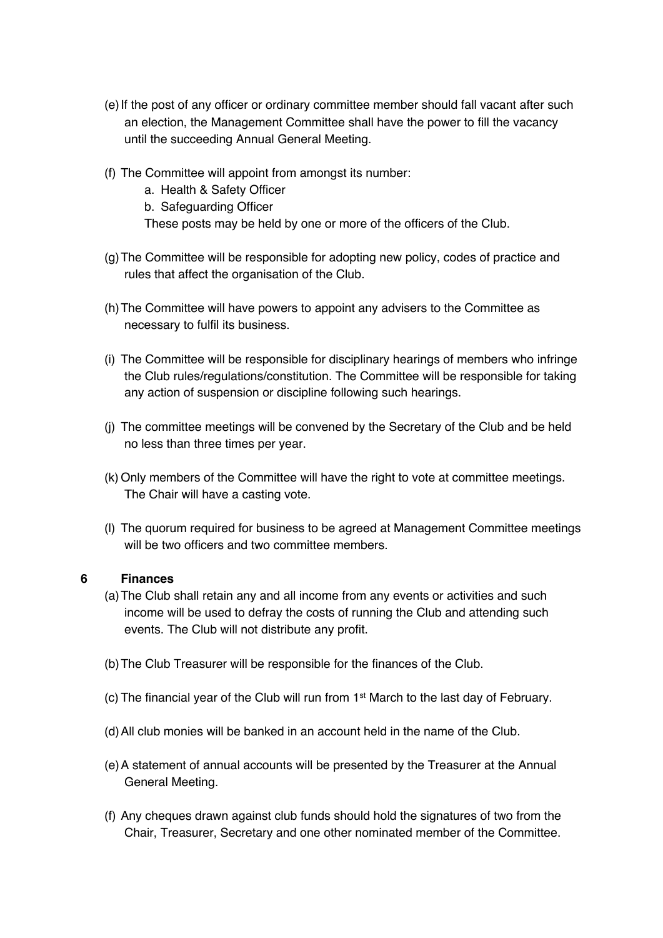- (e)If the post of any officer or ordinary committee member should fall vacant after such an election, the Management Committee shall have the power to fill the vacancy until the succeeding Annual General Meeting.
- (f) The Committee will appoint from amongst its number:
	- a. Health & Safety Officer
	- b. Safeguarding Officer
	- These posts may be held by one or more of the officers of the Club.
- (g)The Committee will be responsible for adopting new policy, codes of practice and rules that affect the organisation of the Club.
- (h)The Committee will have powers to appoint any advisers to the Committee as necessary to fulfil its business.
- (i) The Committee will be responsible for disciplinary hearings of members who infringe the Club rules/regulations/constitution. The Committee will be responsible for taking any action of suspension or discipline following such hearings.
- (j) The committee meetings will be convened by the Secretary of the Club and be held no less than three times per year.
- (k) Only members of the Committee will have the right to vote at committee meetings. The Chair will have a casting vote.
- (l) The quorum required for business to be agreed at Management Committee meetings will be two officers and two committee members.

#### **6 Finances**

- (a)The Club shall retain any and all income from any events or activities and such income will be used to defray the costs of running the Club and attending such events. The Club will not distribute any profit.
- (b)The Club Treasurer will be responsible for the finances of the Club.
- (c) The financial year of the Club will run from 1st March to the last day of February.
- (d)All club monies will be banked in an account held in the name of the Club.
- (e)A statement of annual accounts will be presented by the Treasurer at the Annual General Meeting.
- (f) Any cheques drawn against club funds should hold the signatures of two from the Chair, Treasurer, Secretary and one other nominated member of the Committee.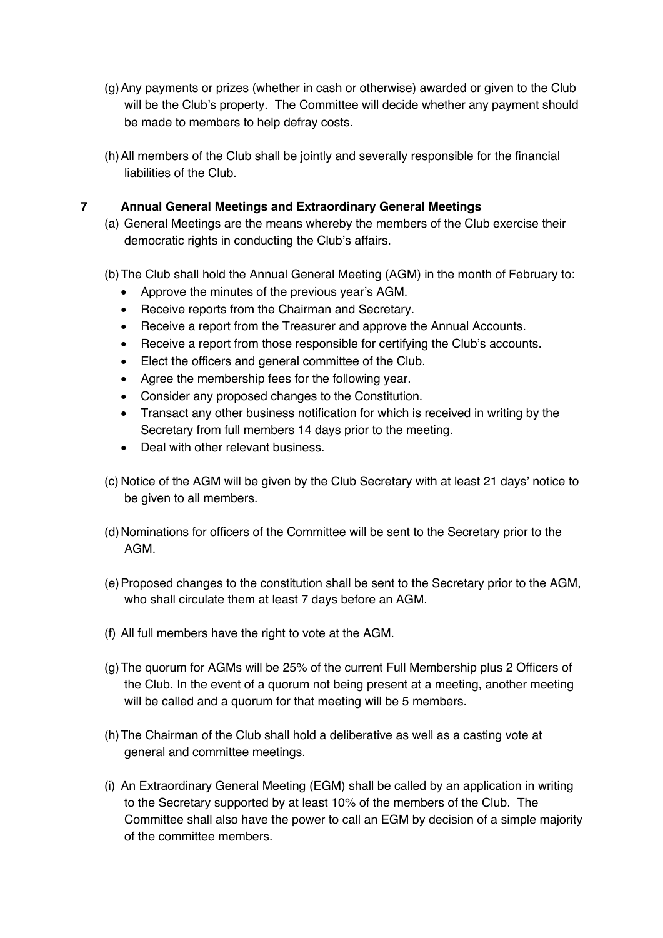- (g)Any payments or prizes (whether in cash or otherwise) awarded or given to the Club will be the Club's property. The Committee will decide whether any payment should be made to members to help defray costs.
- (h)All members of the Club shall be jointly and severally responsible for the financial liabilities of the Club.

# **7 Annual General Meetings and Extraordinary General Meetings**

- (a) General Meetings are the means whereby the members of the Club exercise their democratic rights in conducting the Club's affairs.
- (b)The Club shall hold the Annual General Meeting (AGM) in the month of February to:
	- Approve the minutes of the previous year's AGM.
	- Receive reports from the Chairman and Secretary.
	- Receive a report from the Treasurer and approve the Annual Accounts.
	- Receive a report from those responsible for certifying the Club's accounts.
	- Elect the officers and general committee of the Club.
	- Agree the membership fees for the following year.
	- Consider any proposed changes to the Constitution.
	- Transact any other business notification for which is received in writing by the Secretary from full members 14 days prior to the meeting.
	- Deal with other relevant business
- (c) Notice of the AGM will be given by the Club Secretary with at least 21 days' notice to be given to all members.
- (d)Nominations for officers of the Committee will be sent to the Secretary prior to the AGM.
- (e)Proposed changes to the constitution shall be sent to the Secretary prior to the AGM, who shall circulate them at least 7 days before an AGM.
- (f) All full members have the right to vote at the AGM.
- (g)The quorum for AGMs will be 25% of the current Full Membership plus 2 Officers of the Club. In the event of a quorum not being present at a meeting, another meeting will be called and a quorum for that meeting will be 5 members.
- (h)The Chairman of the Club shall hold a deliberative as well as a casting vote at general and committee meetings.
- (i) An Extraordinary General Meeting (EGM) shall be called by an application in writing to the Secretary supported by at least 10% of the members of the Club. The Committee shall also have the power to call an EGM by decision of a simple majority of the committee members.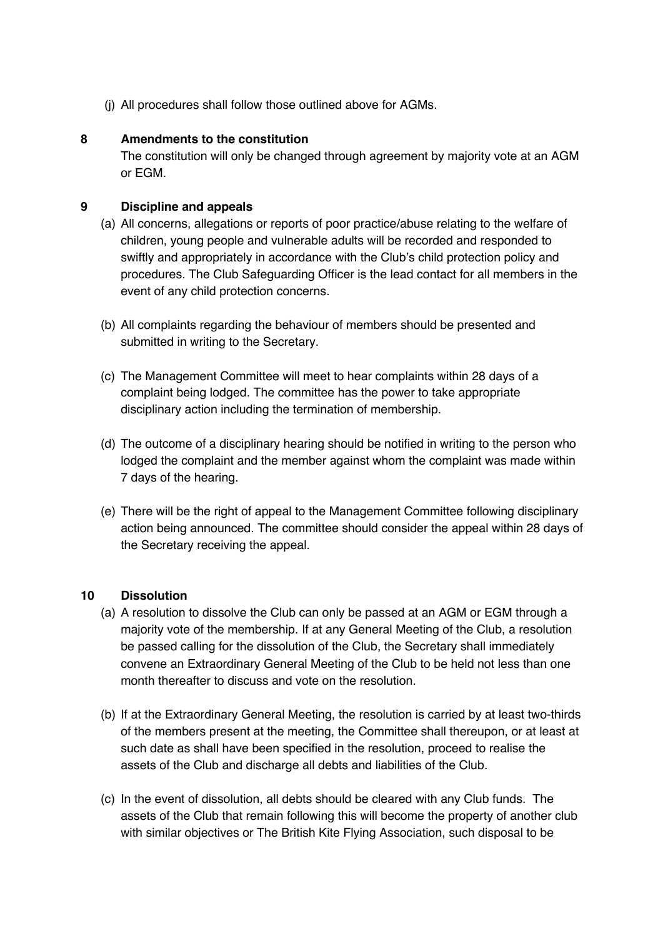(j) All procedures shall follow those outlined above for AGMs.

### **8 Amendments to the constitution**

The constitution will only be changed through agreement by majority vote at an AGM or EGM.

# **9 Discipline and appeals**

- (a) All concerns, allegations or reports of poor practice/abuse relating to the welfare of children, young people and vulnerable adults will be recorded and responded to swiftly and appropriately in accordance with the Club's child protection policy and procedures. The Club Safeguarding Officer is the lead contact for all members in the event of any child protection concerns.
- (b) All complaints regarding the behaviour of members should be presented and submitted in writing to the Secretary.
- (c) The Management Committee will meet to hear complaints within 28 days of a complaint being lodged. The committee has the power to take appropriate disciplinary action including the termination of membership.
- (d) The outcome of a disciplinary hearing should be notified in writing to the person who lodged the complaint and the member against whom the complaint was made within 7 days of the hearing.
- (e) There will be the right of appeal to the Management Committee following disciplinary action being announced. The committee should consider the appeal within 28 days of the Secretary receiving the appeal.

#### **10 Dissolution**

- (a) A resolution to dissolve the Club can only be passed at an AGM or EGM through a majority vote of the membership. If at any General Meeting of the Club, a resolution be passed calling for the dissolution of the Club, the Secretary shall immediately convene an Extraordinary General Meeting of the Club to be held not less than one month thereafter to discuss and vote on the resolution.
- (b) If at the Extraordinary General Meeting, the resolution is carried by at least two-thirds of the members present at the meeting, the Committee shall thereupon, or at least at such date as shall have been specified in the resolution, proceed to realise the assets of the Club and discharge all debts and liabilities of the Club.
- (c) In the event of dissolution, all debts should be cleared with any Club funds. The assets of the Club that remain following this will become the property of another club with similar objectives or The British Kite Flying Association, such disposal to be